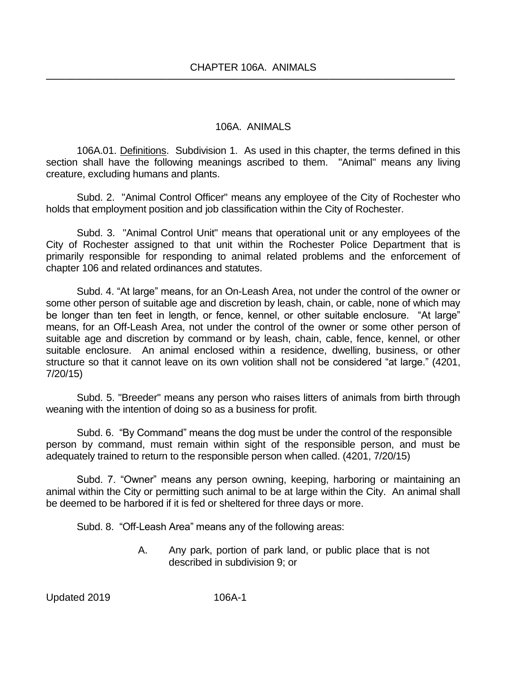## 106A. ANIMALS

106A.01. Definitions. Subdivision 1. As used in this chapter, the terms defined in this section shall have the following meanings ascribed to them. "Animal" means any living creature, excluding humans and plants.

Subd. 2. "Animal Control Officer" means any employee of the City of Rochester who holds that employment position and job classification within the City of Rochester.

Subd. 3. "Animal Control Unit" means that operational unit or any employees of the City of Rochester assigned to that unit within the Rochester Police Department that is primarily responsible for responding to animal related problems and the enforcement of chapter 106 and related ordinances and statutes.

Subd. 4. "At large" means, for an On-Leash Area, not under the control of the owner or some other person of suitable age and discretion by leash, chain, or cable, none of which may be longer than ten feet in length, or fence, kennel, or other suitable enclosure. "At large" means, for an Off-Leash Area, not under the control of the owner or some other person of suitable age and discretion by command or by leash, chain, cable, fence, kennel, or other suitable enclosure. An animal enclosed within a residence, dwelling, business, or other structure so that it cannot leave on its own volition shall not be considered "at large." (4201, 7/20/15)

Subd. 5. "Breeder" means any person who raises litters of animals from birth through weaning with the intention of doing so as a business for profit.

Subd. 6. "By Command" means the dog must be under the control of the responsible person by command, must remain within sight of the responsible person, and must be adequately trained to return to the responsible person when called. (4201, 7/20/15)

Subd. 7. "Owner" means any person owning, keeping, harboring or maintaining an animal within the City or permitting such animal to be at large within the City. An animal shall be deemed to be harbored if it is fed or sheltered for three days or more.

Subd. 8. "Off-Leash Area" means any of the following areas:

A. Any park, portion of park land, or public place that is not described in subdivision 9; or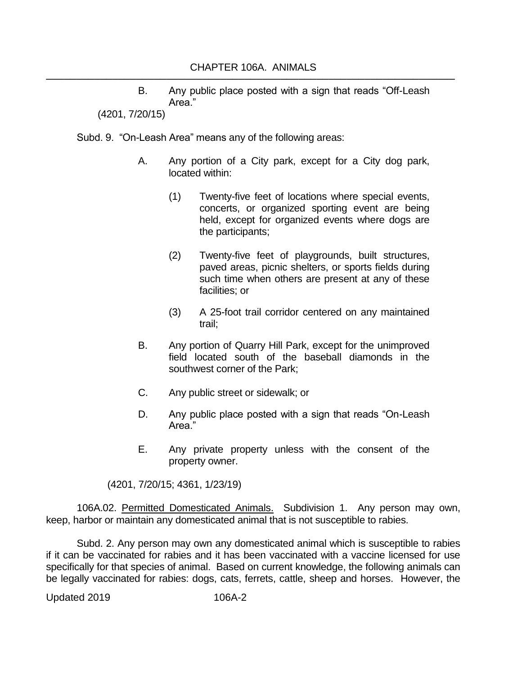B. Any public place posted with a sign that reads "Off-Leash Area."

(4201, 7/20/15)

Subd. 9. "On-Leash Area" means any of the following areas:

- A. Any portion of a City park, except for a City dog park, located within:
	- (1) Twenty-five feet of locations where special events, concerts, or organized sporting event are being held, except for organized events where dogs are the participants;
	- (2) Twenty-five feet of playgrounds, built structures, paved areas, picnic shelters, or sports fields during such time when others are present at any of these facilities; or
	- (3) A 25-foot trail corridor centered on any maintained trail;
- B. Any portion of Quarry Hill Park, except for the unimproved field located south of the baseball diamonds in the southwest corner of the Park;
- C. Any public street or sidewalk; or
- D. Any public place posted with a sign that reads "On-Leash Area."
- E. Any private property unless with the consent of the property owner.

(4201, 7/20/15; 4361, 1/23/19)

106A.02. Permitted Domesticated Animals. Subdivision 1. Any person may own, keep, harbor or maintain any domesticated animal that is not susceptible to rabies.

Subd. 2. Any person may own any domesticated animal which is susceptible to rabies if it can be vaccinated for rabies and it has been vaccinated with a vaccine licensed for use specifically for that species of animal. Based on current knowledge, the following animals can be legally vaccinated for rabies: dogs, cats, ferrets, cattle, sheep and horses. However, the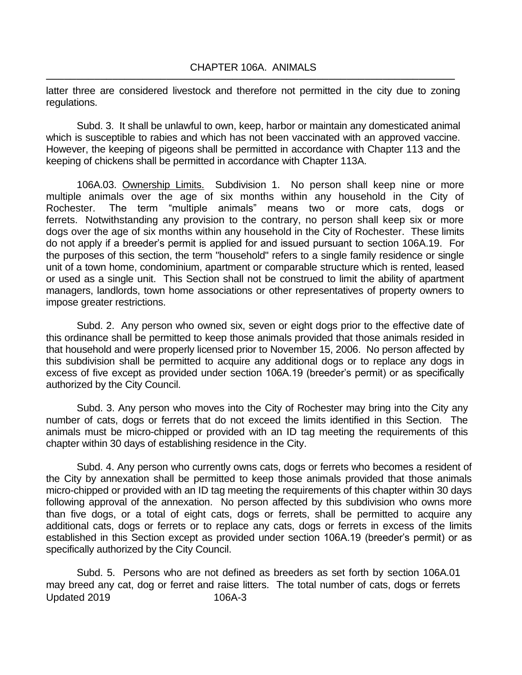latter three are considered livestock and therefore not permitted in the city due to zoning regulations.

Subd. 3. It shall be unlawful to own, keep, harbor or maintain any domesticated animal which is susceptible to rabies and which has not been vaccinated with an approved vaccine. However, the keeping of pigeons shall be permitted in accordance with Chapter 113 and the keeping of chickens shall be permitted in accordance with Chapter 113A.

106A.03. Ownership Limits. Subdivision 1. No person shall keep nine or more multiple animals over the age of six months within any household in the City of Rochester. The term "multiple animals" means two or more cats, dogs or ferrets. Notwithstanding any provision to the contrary, no person shall keep six or more dogs over the age of six months within any household in the City of Rochester. These limits do not apply if a breeder's permit is applied for and issued pursuant to section 106A.19. For the purposes of this section, the term "household" refers to a single family residence or single unit of a town home, condominium, apartment or comparable structure which is rented, leased or used as a single unit. This Section shall not be construed to limit the ability of apartment managers, landlords, town home associations or other representatives of property owners to impose greater restrictions.

Subd. 2. Any person who owned six, seven or eight dogs prior to the effective date of this ordinance shall be permitted to keep those animals provided that those animals resided in that household and were properly licensed prior to November 15, 2006. No person affected by this subdivision shall be permitted to acquire any additional dogs or to replace any dogs in excess of five except as provided under section 106A.19 (breeder's permit) or as specifically authorized by the City Council.

Subd. 3. Any person who moves into the City of Rochester may bring into the City any number of cats, dogs or ferrets that do not exceed the limits identified in this Section. The animals must be micro-chipped or provided with an ID tag meeting the requirements of this chapter within 30 days of establishing residence in the City.

Subd. 4. Any person who currently owns cats, dogs or ferrets who becomes a resident of the City by annexation shall be permitted to keep those animals provided that those animals micro-chipped or provided with an ID tag meeting the requirements of this chapter within 30 days following approval of the annexation. No person affected by this subdivision who owns more than five dogs, or a total of eight cats, dogs or ferrets, shall be permitted to acquire any additional cats, dogs or ferrets or to replace any cats, dogs or ferrets in excess of the limits established in this Section except as provided under section 106A.19 (breeder's permit) or as specifically authorized by the City Council.

Updated 2019 106A-3 Subd. 5. Persons who are not defined as breeders as set forth by section 106A.01 may breed any cat, dog or ferret and raise litters. The total number of cats, dogs or ferrets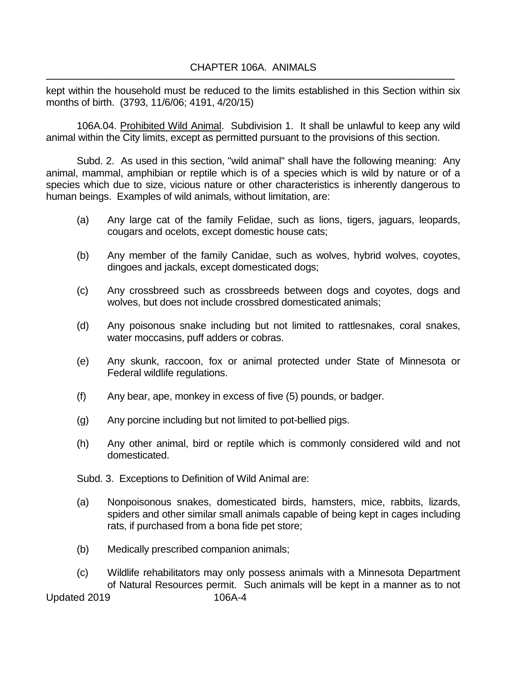kept within the household must be reduced to the limits established in this Section within six months of birth. (3793, 11/6/06; 4191, 4/20/15)

106A.04. Prohibited Wild Animal. Subdivision 1. It shall be unlawful to keep any wild animal within the City limits, except as permitted pursuant to the provisions of this section.

Subd. 2. As used in this section, "wild animal" shall have the following meaning: Any animal, mammal, amphibian or reptile which is of a species which is wild by nature or of a species which due to size, vicious nature or other characteristics is inherently dangerous to human beings. Examples of wild animals, without limitation, are:

- (a) Any large cat of the family Felidae, such as lions, tigers, jaguars, leopards, cougars and ocelots, except domestic house cats;
- (b) Any member of the family Canidae, such as wolves, hybrid wolves, coyotes, dingoes and jackals, except domesticated dogs;
- (c) Any crossbreed such as crossbreeds between dogs and coyotes, dogs and wolves, but does not include crossbred domesticated animals;
- (d) Any poisonous snake including but not limited to rattlesnakes, coral snakes, water moccasins, puff adders or cobras.
- (e) Any skunk, raccoon, fox or animal protected under State of Minnesota or Federal wildlife regulations.
- (f) Any bear, ape, monkey in excess of five (5) pounds, or badger.
- (g) Any porcine including but not limited to pot-bellied pigs.
- (h) Any other animal, bird or reptile which is commonly considered wild and not domesticated.

Subd. 3. Exceptions to Definition of Wild Animal are:

- (a) Nonpoisonous snakes, domesticated birds, hamsters, mice, rabbits, lizards, spiders and other similar small animals capable of being kept in cages including rats, if purchased from a bona fide pet store;
- (b) Medically prescribed companion animals;
- (c) Wildlife rehabilitators may only possess animals with a Minnesota Department of Natural Resources permit. Such animals will be kept in a manner as to not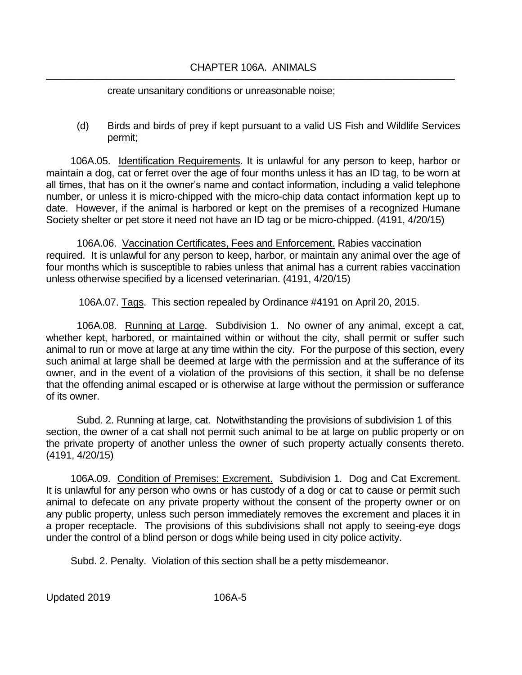## CHAPTER 106A. ANIMALS ────────────────────────────────────────────────────────────────────

create unsanitary conditions or unreasonable noise;

(d) Birds and birds of prey if kept pursuant to a valid US Fish and Wildlife Services permit;

106A.05. Identification Requirements. It is unlawful for any person to keep, harbor or maintain a dog, cat or ferret over the age of four months unless it has an ID tag, to be worn at all times, that has on it the owner's name and contact information, including a valid telephone number, or unless it is micro-chipped with the micro-chip data contact information kept up to date. However, if the animal is harbored or kept on the premises of a recognized Humane Society shelter or pet store it need not have an ID tag or be micro-chipped. (4191, 4/20/15)

106A.06. Vaccination Certificates, Fees and Enforcement. Rabies vaccination required. It is unlawful for any person to keep, harbor, or maintain any animal over the age of four months which is susceptible to rabies unless that animal has a current rabies vaccination unless otherwise specified by a licensed veterinarian. (4191, 4/20/15)

106A.07. Tags. This section repealed by Ordinance #4191 on April 20, 2015.

106A.08. Running at Large. Subdivision 1. No owner of any animal, except a cat, whether kept, harbored, or maintained within or without the city, shall permit or suffer such animal to run or move at large at any time within the city. For the purpose of this section, every such animal at large shall be deemed at large with the permission and at the sufferance of its owner, and in the event of a violation of the provisions of this section, it shall be no defense that the offending animal escaped or is otherwise at large without the permission or sufferance of its owner.

Subd. 2. Running at large, cat. Notwithstanding the provisions of subdivision 1 of this section, the owner of a cat shall not permit such animal to be at large on public property or on the private property of another unless the owner of such property actually consents thereto. (4191, 4/20/15)

106A.09. Condition of Premises: Excrement. Subdivision 1. Dog and Cat Excrement. It is unlawful for any person who owns or has custody of a dog or cat to cause or permit such animal to defecate on any private property without the consent of the property owner or on any public property, unless such person immediately removes the excrement and places it in a proper receptacle. The provisions of this subdivisions shall not apply to seeing-eye dogs under the control of a blind person or dogs while being used in city police activity.

Subd. 2. Penalty. Violation of this section shall be a petty misdemeanor.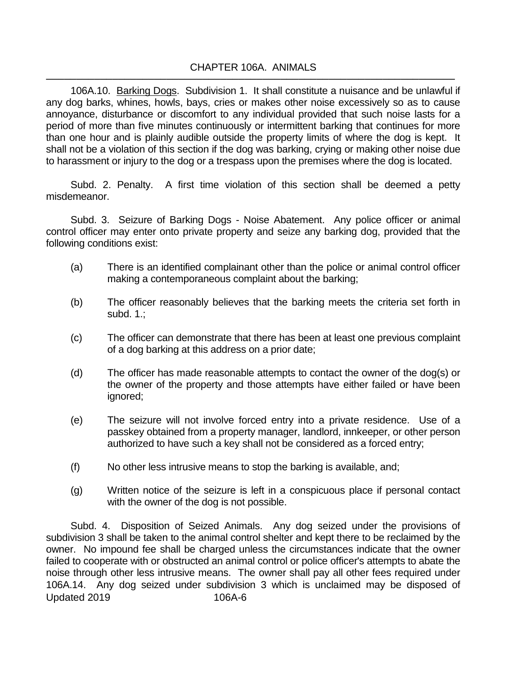106A.10. Barking Dogs. Subdivision 1. It shall constitute a nuisance and be unlawful if any dog barks, whines, howls, bays, cries or makes other noise excessively so as to cause annoyance, disturbance or discomfort to any individual provided that such noise lasts for a period of more than five minutes continuously or intermittent barking that continues for more than one hour and is plainly audible outside the property limits of where the dog is kept. It shall not be a violation of this section if the dog was barking, crying or making other noise due to harassment or injury to the dog or a trespass upon the premises where the dog is located.

Subd. 2. Penalty. A first time violation of this section shall be deemed a petty misdemeanor.

Subd. 3. Seizure of Barking Dogs - Noise Abatement. Any police officer or animal control officer may enter onto private property and seize any barking dog, provided that the following conditions exist:

- (a) There is an identified complainant other than the police or animal control officer making a contemporaneous complaint about the barking;
- (b) The officer reasonably believes that the barking meets the criteria set forth in subd. 1.;
- (c) The officer can demonstrate that there has been at least one previous complaint of a dog barking at this address on a prior date;
- (d) The officer has made reasonable attempts to contact the owner of the dog(s) or the owner of the property and those attempts have either failed or have been ignored;
- (e) The seizure will not involve forced entry into a private residence. Use of a passkey obtained from a property manager, landlord, innkeeper, or other person authorized to have such a key shall not be considered as a forced entry;
- (f) No other less intrusive means to stop the barking is available, and;
- (g) Written notice of the seizure is left in a conspicuous place if personal contact with the owner of the dog is not possible.

Updated 2019 106A-6 Subd. 4. Disposition of Seized Animals. Any dog seized under the provisions of subdivision 3 shall be taken to the animal control shelter and kept there to be reclaimed by the owner. No impound fee shall be charged unless the circumstances indicate that the owner failed to cooperate with or obstructed an animal control or police officer's attempts to abate the noise through other less intrusive means. The owner shall pay all other fees required under 106A.14. Any dog seized under subdivision 3 which is unclaimed may be disposed of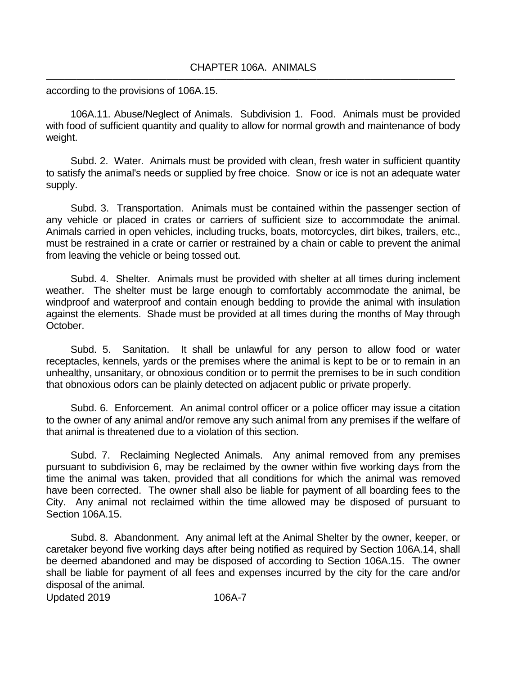according to the provisions of 106A.15.

106A.11. Abuse/Neglect of Animals. Subdivision 1. Food. Animals must be provided with food of sufficient quantity and quality to allow for normal growth and maintenance of body weight.

Subd. 2. Water. Animals must be provided with clean, fresh water in sufficient quantity to satisfy the animal's needs or supplied by free choice. Snow or ice is not an adequate water supply.

Subd. 3. Transportation. Animals must be contained within the passenger section of any vehicle or placed in crates or carriers of sufficient size to accommodate the animal. Animals carried in open vehicles, including trucks, boats, motorcycles, dirt bikes, trailers, etc., must be restrained in a crate or carrier or restrained by a chain or cable to prevent the animal from leaving the vehicle or being tossed out.

Subd. 4. Shelter. Animals must be provided with shelter at all times during inclement weather. The shelter must be large enough to comfortably accommodate the animal, be windproof and waterproof and contain enough bedding to provide the animal with insulation against the elements. Shade must be provided at all times during the months of May through October.

Subd. 5. Sanitation. It shall be unlawful for any person to allow food or water receptacles, kennels, yards or the premises where the animal is kept to be or to remain in an unhealthy, unsanitary, or obnoxious condition or to permit the premises to be in such condition that obnoxious odors can be plainly detected on adjacent public or private properly.

Subd. 6. Enforcement. An animal control officer or a police officer may issue a citation to the owner of any animal and/or remove any such animal from any premises if the welfare of that animal is threatened due to a violation of this section.

Subd. 7. Reclaiming Neglected Animals. Any animal removed from any premises pursuant to subdivision 6, may be reclaimed by the owner within five working days from the time the animal was taken, provided that all conditions for which the animal was removed have been corrected. The owner shall also be liable for payment of all boarding fees to the City. Any animal not reclaimed within the time allowed may be disposed of pursuant to Section 106A.15.

Subd. 8. Abandonment. Any animal left at the Animal Shelter by the owner, keeper, or caretaker beyond five working days after being notified as required by Section 106A.14, shall be deemed abandoned and may be disposed of according to Section 106A.15. The owner shall be liable for payment of all fees and expenses incurred by the city for the care and/or disposal of the animal.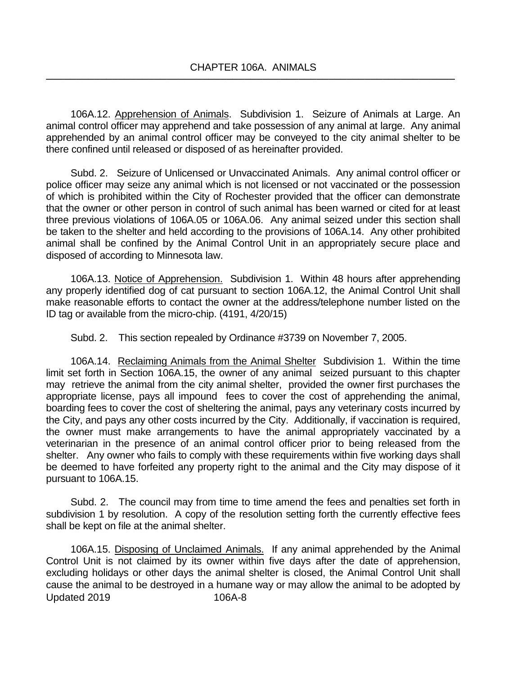106A.12. Apprehension of Animals. Subdivision 1. Seizure of Animals at Large. An animal control officer may apprehend and take possession of any animal at large. Any animal apprehended by an animal control officer may be conveyed to the city animal shelter to be there confined until released or disposed of as hereinafter provided.

Subd. 2. Seizure of Unlicensed or Unvaccinated Animals. Any animal control officer or police officer may seize any animal which is not licensed or not vaccinated or the possession of which is prohibited within the City of Rochester provided that the officer can demonstrate that the owner or other person in control of such animal has been warned or cited for at least three previous violations of 106A.05 or 106A.06. Any animal seized under this section shall be taken to the shelter and held according to the provisions of 106A.14. Any other prohibited animal shall be confined by the Animal Control Unit in an appropriately secure place and disposed of according to Minnesota law.

106A.13. Notice of Apprehension. Subdivision 1. Within 48 hours after apprehending any properly identified dog of cat pursuant to section 106A.12, the Animal Control Unit shall make reasonable efforts to contact the owner at the address/telephone number listed on the ID tag or available from the micro-chip. (4191, 4/20/15)

Subd. 2. This section repealed by Ordinance #3739 on November 7, 2005.

106A.14. Reclaiming Animals from the Animal Shelter Subdivision 1. Within the time limit set forth in Section 106A.15, the owner of any animal seized pursuant to this chapter may retrieve the animal from the city animal shelter, provided the owner first purchases the appropriate license, pays all impound fees to cover the cost of apprehending the animal, boarding fees to cover the cost of sheltering the animal, pays any veterinary costs incurred by the City, and pays any other costs incurred by the City. Additionally, if vaccination is required, the owner must make arrangements to have the animal appropriately vaccinated by a veterinarian in the presence of an animal control officer prior to being released from the shelter. Any owner who fails to comply with these requirements within five working days shall be deemed to have forfeited any property right to the animal and the City may dispose of it pursuant to 106A.15.

Subd. 2. The council may from time to time amend the fees and penalties set forth in subdivision 1 by resolution. A copy of the resolution setting forth the currently effective fees shall be kept on file at the animal shelter.

Updated 2019 106A-8 106A.15. Disposing of Unclaimed Animals. If any animal apprehended by the Animal Control Unit is not claimed by its owner within five days after the date of apprehension, excluding holidays or other days the animal shelter is closed, the Animal Control Unit shall cause the animal to be destroyed in a humane way or may allow the animal to be adopted by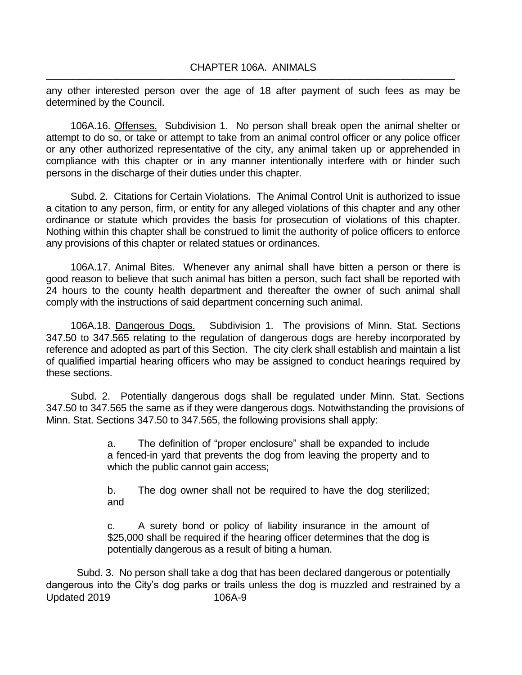any other interested person over the age of 18 after payment of such fees as may be determined by the Council.

106A.16. Offenses. Subdivision 1. No person shall break open the animal shelter or attempt to do so, or take or attempt to take from an animal control officer or any police officer or any other authorized representative of the city, any animal taken up or apprehended in compliance with this chapter or in any manner intentionally interfere with or hinder such persons in the discharge of their duties under this chapter.

Subd. 2. Citations for Certain Violations. The Animal Control Unit is authorized to issue a citation to any person, firm, or entity for any alleged violations of this chapter and any other ordinance or statute which provides the basis for prosecution of violations of this chapter. Nothing within this chapter shall be construed to limit the authority of police officers to enforce any provisions of this chapter or related statues or ordinances.

106A.17. Animal Bites. Whenever any animal shall have bitten a person or there is good reason to believe that such animal has bitten a person, such fact shall be reported with 24 hours to the county health department and thereafter the owner of such animal shall comply with the instructions of said department concerning such animal.

106A.18. Dangerous Dogs. Subdivision 1. The provisions of Minn. Stat. Sections 347.50 to 347.565 relating to the regulation of dangerous dogs are hereby incorporated by reference and adopted as part of this Section. The city clerk shall establish and maintain a list of qualified impartial hearing officers who may be assigned to conduct hearings required by these sections.

Subd. 2. Potentially dangerous dogs shall be regulated under Minn. Stat. Sections 347.50 to 347.565 the same as if they were dangerous dogs. Notwithstanding the provisions of Minn. Stat. Sections 347.50 to 347.565, the following provisions shall apply:

> a. The definition of "proper enclosure" shall be expanded to include a fenced-in yard that prevents the dog from leaving the property and to which the public cannot gain access;

> b. The dog owner shall not be required to have the dog sterilized; and

> c. A surety bond or policy of liability insurance in the amount of \$25,000 shall be required if the hearing officer determines that the dog is potentially dangerous as a result of biting a human.

Updated 2019 106A-9 Subd. 3. No person shall take a dog that has been declared dangerous or potentially dangerous into the City's dog parks or trails unless the dog is muzzled and restrained by a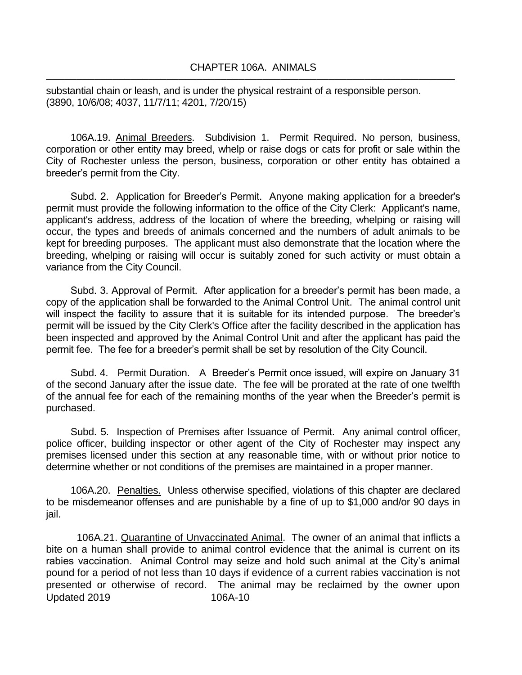substantial chain or leash, and is under the physical restraint of a responsible person. (3890, 10/6/08; 4037, 11/7/11; 4201, 7/20/15)

106A.19. Animal Breeders. Subdivision 1. Permit Required. No person, business, corporation or other entity may breed, whelp or raise dogs or cats for profit or sale within the City of Rochester unless the person, business, corporation or other entity has obtained a breeder's permit from the City.

Subd. 2. Application for Breeder's Permit. Anyone making application for a breeder's permit must provide the following information to the office of the City Clerk: Applicant's name, applicant's address, address of the location of where the breeding, whelping or raising will occur, the types and breeds of animals concerned and the numbers of adult animals to be kept for breeding purposes. The applicant must also demonstrate that the location where the breeding, whelping or raising will occur is suitably zoned for such activity or must obtain a variance from the City Council.

Subd. 3. Approval of Permit. After application for a breeder's permit has been made, a copy of the application shall be forwarded to the Animal Control Unit. The animal control unit will inspect the facility to assure that it is suitable for its intended purpose. The breeder's permit will be issued by the City Clerk's Office after the facility described in the application has been inspected and approved by the Animal Control Unit and after the applicant has paid the permit fee. The fee for a breeder's permit shall be set by resolution of the City Council.

Subd. 4. Permit Duration. A Breeder's Permit once issued, will expire on January 31 of the second January after the issue date. The fee will be prorated at the rate of one twelfth of the annual fee for each of the remaining months of the year when the Breeder's permit is purchased.

Subd. 5. Inspection of Premises after Issuance of Permit. Any animal control officer, police officer, building inspector or other agent of the City of Rochester may inspect any premises licensed under this section at any reasonable time, with or without prior notice to determine whether or not conditions of the premises are maintained in a proper manner.

106A.20. Penalties. Unless otherwise specified, violations of this chapter are declared to be misdemeanor offenses and are punishable by a fine of up to \$1,000 and/or 90 days in jail.

Updated 2019 106A-10 106A.21. Quarantine of Unvaccinated Animal. The owner of an animal that inflicts a bite on a human shall provide to animal control evidence that the animal is current on its rabies vaccination. Animal Control may seize and hold such animal at the City's animal pound for a period of not less than 10 days if evidence of a current rabies vaccination is not presented or otherwise of record. The animal may be reclaimed by the owner upon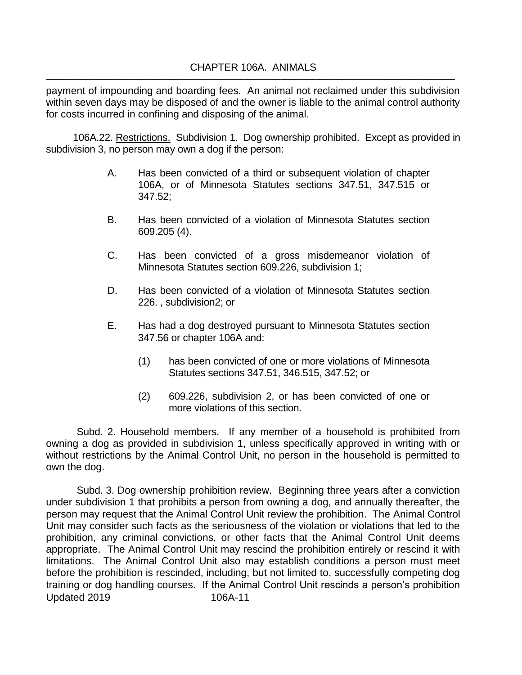payment of impounding and boarding fees. An animal not reclaimed under this subdivision within seven days may be disposed of and the owner is liable to the animal control authority for costs incurred in confining and disposing of the animal.

106A.22. Restrictions. Subdivision 1. Dog ownership prohibited. Except as provided in subdivision 3, no person may own a dog if the person:

- A. Has been convicted of a third or subsequent violation of chapter 106A, or of Minnesota Statutes sections 347.51, 347.515 or 347.52;
- B. Has been convicted of a violation of Minnesota Statutes section 609.205 (4).
- C. Has been convicted of a gross misdemeanor violation of Minnesota Statutes section 609.226, subdivision 1;
- D. Has been convicted of a violation of Minnesota Statutes section 226. , subdivision2; or
- E. Has had a dog destroyed pursuant to Minnesota Statutes section 347.56 or chapter 106A and:
	- (1) has been convicted of one or more violations of Minnesota Statutes sections 347.51, 346.515, 347.52; or
	- (2) 609.226, subdivision 2, or has been convicted of one or more violations of this section.

Subd. 2. Household members. If any member of a household is prohibited from owning a dog as provided in subdivision 1, unless specifically approved in writing with or without restrictions by the Animal Control Unit, no person in the household is permitted to own the dog.

Updated 2019 106A-11 Subd. 3. Dog ownership prohibition review. Beginning three years after a conviction under subdivision 1 that prohibits a person from owning a dog, and annually thereafter, the person may request that the Animal Control Unit review the prohibition. The Animal Control Unit may consider such facts as the seriousness of the violation or violations that led to the prohibition, any criminal convictions, or other facts that the Animal Control Unit deems appropriate. The Animal Control Unit may rescind the prohibition entirely or rescind it with limitations. The Animal Control Unit also may establish conditions a person must meet before the prohibition is rescinded, including, but not limited to, successfully competing dog training or dog handling courses. If the Animal Control Unit rescinds a person's prohibition